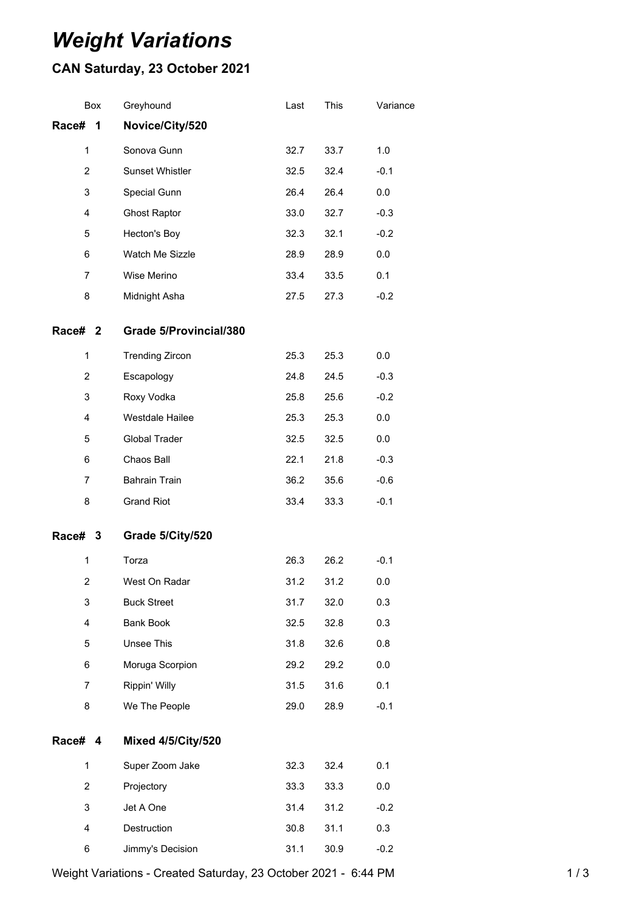## *Weight Variations*

## **CAN Saturday, 23 October 2021**

|                         | Box | Greyhound                 | Last | This | Variance |
|-------------------------|-----|---------------------------|------|------|----------|
| Race#                   | 1   | Novice/City/520           |      |      |          |
| $\mathbf 1$             |     | Sonova Gunn               | 32.7 | 33.7 | 1.0      |
| $\overline{2}$          |     | Sunset Whistler           | 32.5 | 32.4 | $-0.1$   |
| 3                       |     | Special Gunn              | 26.4 | 26.4 | 0.0      |
| 4                       |     | <b>Ghost Raptor</b>       | 33.0 | 32.7 | $-0.3$   |
| 5                       |     | Hecton's Boy              | 32.3 | 32.1 | $-0.2$   |
| 6                       |     | Watch Me Sizzle           | 28.9 | 28.9 | 0.0      |
| $\overline{7}$          |     | Wise Merino               | 33.4 | 33.5 | 0.1      |
| 8                       |     | Midnight Asha             | 27.5 | 27.3 | $-0.2$   |
| Race# 2                 |     | Grade 5/Provincial/380    |      |      |          |
| 1                       |     | <b>Trending Zircon</b>    | 25.3 | 25.3 | 0.0      |
| $\overline{2}$          |     | Escapology                | 24.8 | 24.5 | $-0.3$   |
| 3                       |     | Roxy Vodka                | 25.8 | 25.6 | $-0.2$   |
| 4                       |     | Westdale Hailee           | 25.3 | 25.3 | 0.0      |
| 5                       |     | Global Trader             | 32.5 | 32.5 | 0.0      |
| 6                       |     | Chaos Ball                | 22.1 | 21.8 | $-0.3$   |
| $\overline{7}$          |     | <b>Bahrain Train</b>      | 36.2 | 35.6 | $-0.6$   |
| 8                       |     | <b>Grand Riot</b>         | 33.4 | 33.3 | $-0.1$   |
| Race# 3                 |     | Grade 5/City/520          |      |      |          |
| 1                       |     | Torza                     | 26.3 | 26.2 | $-0.1$   |
| $\overline{2}$          |     | West On Radar             | 31.2 | 31.2 | 0.0      |
| 3                       |     | <b>Buck Street</b>        | 31.7 | 32.0 | 0.3      |
| 4                       |     | <b>Bank Book</b>          | 32.5 | 32.8 | 0.3      |
| 5                       |     | Unsee This                | 31.8 | 32.6 | 0.8      |
| 6                       |     | Moruga Scorpion           | 29.2 | 29.2 | $0.0\,$  |
| $\overline{7}$          |     | Rippin' Willy             | 31.5 | 31.6 | 0.1      |
| 8                       |     | We The People             | 29.0 | 28.9 | $-0.1$   |
| Race# 4                 |     | <b>Mixed 4/5/City/520</b> |      |      |          |
| 1                       |     | Super Zoom Jake           | 32.3 | 32.4 | 0.1      |
| $\overline{2}$          |     | Projectory                | 33.3 | 33.3 | 0.0      |
| 3                       |     | Jet A One                 | 31.4 | 31.2 | $-0.2$   |
| $\overline{\mathbf{4}}$ |     | Destruction               | 30.8 | 31.1 | 0.3      |
| 6                       |     | Jimmy's Decision          | 31.1 | 30.9 | $-0.2$   |

Weight Variations - Created Saturday, 23 October 2021 - 6:44 PM 1 / 3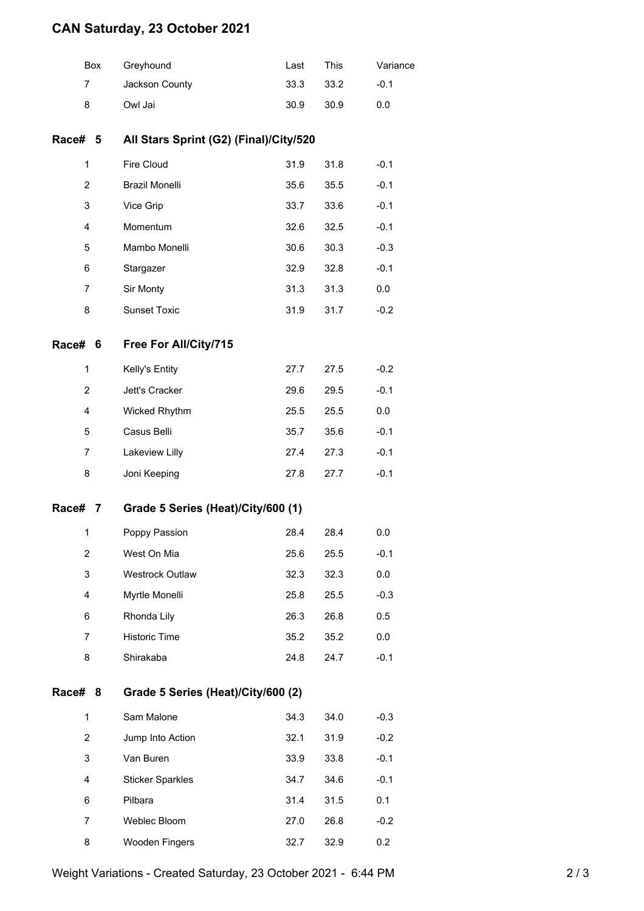## **CAN Saturday, 23 October 2021**

|                | Box                                     | Greyhound                          | Last | This | Variance |  |  |
|----------------|-----------------------------------------|------------------------------------|------|------|----------|--|--|
| 7              |                                         | Jackson County                     | 33.3 | 33.2 | $-0.1$   |  |  |
| 8              |                                         | Owl Jai                            | 30.9 | 30.9 | 0.0      |  |  |
| Race# 5        | All Stars Sprint (G2) (Final)/City/520  |                                    |      |      |          |  |  |
| 1              |                                         | Fire Cloud                         | 31.9 | 31.8 | $-0.1$   |  |  |
| $\overline{c}$ |                                         | <b>Brazil Monelli</b>              | 35.6 | 35.5 | $-0.1$   |  |  |
| 3              |                                         | Vice Grip                          | 33.7 | 33.6 | $-0.1$   |  |  |
| $\overline{4}$ |                                         | Momentum                           | 32.6 | 32.5 | $-0.1$   |  |  |
| 5              |                                         | Mambo Monelli                      | 30.6 | 30.3 | $-0.3$   |  |  |
| 6              |                                         | Stargazer                          | 32.9 | 32.8 | $-0.1$   |  |  |
| 7              |                                         | Sir Monty                          | 31.3 | 31.3 | 0.0      |  |  |
| 8              |                                         | <b>Sunset Toxic</b>                | 31.9 | 31.7 | $-0.2$   |  |  |
| Race#          | 6                                       | Free For All/City/715              |      |      |          |  |  |
| $\mathbf{1}$   |                                         | Kelly's Entity                     | 27.7 | 27.5 | $-0.2$   |  |  |
| 2              |                                         | Jett's Cracker                     | 29.6 | 29.5 | $-0.1$   |  |  |
| $\overline{4}$ |                                         | Wicked Rhythm                      | 25.5 | 25.5 | 0.0      |  |  |
| 5              |                                         | Casus Belli                        | 35.7 | 35.6 | $-0.1$   |  |  |
| 7              |                                         | Lakeview Lilly                     | 27.4 | 27.3 | $-0.1$   |  |  |
| 8              |                                         | Joni Keeping                       | 27.8 | 27.7 | $-0.1$   |  |  |
| Race#          | 7                                       | Grade 5 Series (Heat)/City/600 (1) |      |      |          |  |  |
| 1              |                                         | Poppy Passion                      | 28.4 | 28.4 | 0.0      |  |  |
| 2              |                                         | West On Mia                        | 25.6 | 25.5 | $-0.1$   |  |  |
| 3              |                                         | Westrock Outlaw                    | 32.3 | 32.3 | 0.0      |  |  |
| 4              |                                         | Myrtle Monelli                     | 25.8 | 25.5 | $-0.3$   |  |  |
| 6              |                                         | Rhonda Lily                        | 26.3 | 26.8 | 0.5      |  |  |
| 7              |                                         | Historic Time                      | 35.2 | 35.2 | 0.0      |  |  |
| 8              |                                         | Shirakaba                          | 24.8 | 24.7 | $-0.1$   |  |  |
| Race#          | Grade 5 Series (Heat)/City/600 (2)<br>8 |                                    |      |      |          |  |  |
| 1              |                                         | Sam Malone                         | 34.3 | 34.0 | $-0.3$   |  |  |
| $\overline{c}$ |                                         | Jump Into Action                   | 32.1 | 31.9 | $-0.2$   |  |  |
| 3              |                                         | Van Buren                          | 33.9 | 33.8 | $-0.1$   |  |  |
| $\overline{4}$ |                                         | <b>Sticker Sparkles</b>            | 34.7 | 34.6 | $-0.1$   |  |  |
| 6              |                                         | Pilbara                            | 31.4 | 31.5 | 0.1      |  |  |
|                |                                         |                                    |      |      |          |  |  |

 Weblec Bloom 27.0 26.8 -0.2 Wooden Fingers 32.7 32.9 0.2